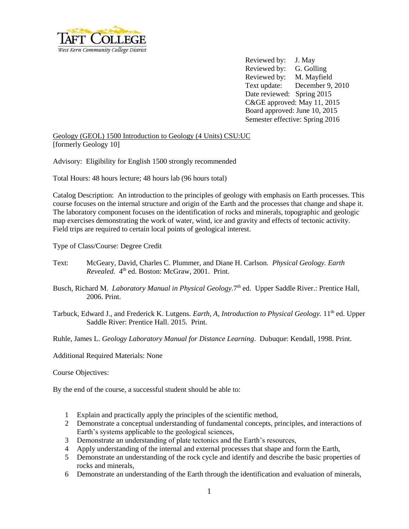

Reviewed by: J. May Reviewed by: G. Golling Reviewed by: M. Mayfield Text update: December 9, 2010 Date reviewed: Spring 2015 C&GE approved: May 11, 2015 Board approved: June 10, 2015 Semester effective: Spring 2016

Geology (GEOL) 1500 Introduction to Geology (4 Units) CSU:UC [formerly Geology 10]

Advisory: Eligibility for English 1500 strongly recommended

Total Hours: 48 hours lecture; 48 hours lab (96 hours total)

Catalog Description: An introduction to the principles of geology with emphasis on Earth processes. This course focuses on the internal structure and origin of the Earth and the processes that change and shape it. The laboratory component focuses on the identification of rocks and minerals, topographic and geologic map exercises demonstrating the work of water, wind, ice and gravity and effects of tectonic activity. Field trips are required to certain local points of geological interest.

Type of Class/Course: Degree Credit

- Text: McGeary, David, Charles C. Plummer, and Diane H. Carlson. *Physical Geology. Earth*  Revealed. 4<sup>th</sup> ed. Boston: McGraw, 2001. Print.
- Busch, Richard M. *Laboratory Manual in Physical Geology*. 7<sup>th</sup> ed. Upper Saddle River.: Prentice Hall, 2006. Print.
- Tarbuck, Edward J., and Frederick K. Lutgens. *Earth, A, Introduction to Physical Geology*. 11<sup>th</sup> ed. Upper Saddle River: Prentice Hall. 2015. Print.

Ruhle, James L. *Geology Laboratory Manual for Distance Learning*. Dubuque: Kendall, 1998. Print.

Additional Required Materials: None

Course Objectives:

By the end of the course, a successful student should be able to:

- 1 Explain and practically apply the principles of the scientific method,
- 2 Demonstrate a conceptual understanding of fundamental concepts, principles, and interactions of Earth's systems applicable to the geological sciences,
- 3 Demonstrate an understanding of plate tectonics and the Earth's resources,
- 4 Apply understanding of the internal and external processes that shape and form the Earth,
- 5 Demonstrate an understanding of the rock cycle and identify and describe the basic properties of rocks and minerals,
- 6 Demonstrate an understanding of the Earth through the identification and evaluation of minerals,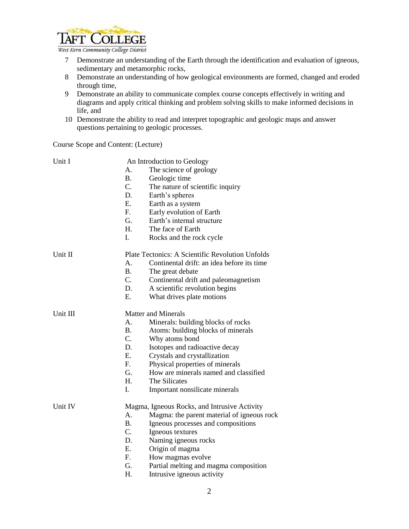

- 7 Demonstrate an understanding of the Earth through the identification and evaluation of igneous, sedimentary and metamorphic rocks,
- 8 Demonstrate an understanding of how geological environments are formed, changed and eroded through time,
- 9 Demonstrate an ability to communicate complex course concepts effectively in writing and diagrams and apply critical thinking and problem solving skills to make informed decisions in life, and
- 10 Demonstrate the ability to read and interpret topographic and geologic maps and answer questions pertaining to geologic processes.

Course Scope and Content: (Lecture)

| Unit I   | An Introduction to Geology |                                                  |  |
|----------|----------------------------|--------------------------------------------------|--|
|          | A.                         | The science of geology                           |  |
|          | $\bf{B}$ .                 | Geologic time                                    |  |
|          | $C_{\cdot}$                | The nature of scientific inquiry                 |  |
|          | D.                         | Earth's spheres                                  |  |
|          | Ε.                         | Earth as a system                                |  |
|          | $F_{\cdot}$                | Early evolution of Earth                         |  |
|          | G.                         | Earth's internal structure                       |  |
|          | Н.                         | The face of Earth                                |  |
|          | I.                         | Rocks and the rock cycle                         |  |
| Unit II  |                            | Plate Tectonics: A Scientific Revolution Unfolds |  |
|          | Α.                         | Continental drift: an idea before its time       |  |
|          | $\bf{B}$ .                 | The great debate                                 |  |
|          | $C_{\cdot}$                | Continental drift and paleomagnetism             |  |
|          | D.                         | A scientific revolution begins                   |  |
|          | E.                         | What drives plate motions                        |  |
| Unit III | <b>Matter and Minerals</b> |                                                  |  |
|          | A.                         | Minerals: building blocks of rocks               |  |
|          | $\mathbf{B}_{\cdot}$       | Atoms: building blocks of minerals               |  |
|          | C.                         | Why atoms bond                                   |  |
|          | D.                         | Isotopes and radioactive decay                   |  |
|          | Ε.                         | Crystals and crystallization                     |  |
|          | F.                         | Physical properties of minerals                  |  |
|          | G.                         | How are minerals named and classified            |  |
|          | H.                         | The Silicates                                    |  |
|          | I.                         | Important nonsilicate minerals                   |  |
| Unit IV  |                            | Magma, Igneous Rocks, and Intrusive Activity     |  |
|          | А.                         | Magma: the parent material of igneous rock       |  |
|          | <b>B.</b>                  | Igneous processes and compositions               |  |
|          | C.                         | Igneous textures                                 |  |
|          | D.                         | Naming igneous rocks                             |  |
|          | E.                         | Origin of magma                                  |  |
|          | F.                         | How magmas evolve                                |  |
|          | G.                         | Partial melting and magma composition            |  |
|          | Η.                         | Intrusive igneous activity                       |  |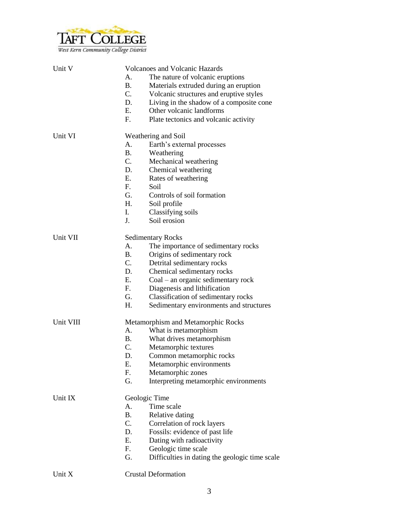

| Unit V    |                          | <b>Volcanoes and Volcanic Hazards</b>          |  |
|-----------|--------------------------|------------------------------------------------|--|
|           | А.                       | The nature of volcanic eruptions               |  |
|           | <b>B.</b>                | Materials extruded during an eruption          |  |
|           | C.                       | Volcanic structures and eruptive styles        |  |
|           | D.                       | Living in the shadow of a composite cone       |  |
|           | E.                       | Other volcanic landforms                       |  |
|           | F <sub>r</sub>           | Plate tectonics and volcanic activity          |  |
|           |                          |                                                |  |
| Unit VI   |                          | Weathering and Soil                            |  |
|           | А.                       | Earth's external processes                     |  |
|           | <b>B.</b>                | Weathering                                     |  |
|           | C.                       | Mechanical weathering                          |  |
|           | D.                       | Chemical weathering                            |  |
|           | E.                       | Rates of weathering                            |  |
|           | F.                       | Soil                                           |  |
|           | G.                       | Controls of soil formation                     |  |
|           | H.                       | Soil profile                                   |  |
|           | I.                       | Classifying soils                              |  |
|           | J.                       | Soil erosion                                   |  |
|           |                          |                                                |  |
| Unit VII  | <b>Sedimentary Rocks</b> |                                                |  |
|           | $A_{\cdot}$              | The importance of sedimentary rocks            |  |
|           | <b>B.</b>                | Origins of sedimentary rock                    |  |
|           | C.                       | Detrital sedimentary rocks                     |  |
|           | D.                       | Chemical sedimentary rocks                     |  |
|           | Ε.                       | $Coal - an organic sedimentary rock$           |  |
|           | $F_{\rm{eff}}$           | Diagenesis and lithification                   |  |
|           | G.                       | Classification of sedimentary rocks            |  |
|           | H.                       | Sedimentary environments and structures        |  |
| Unit VIII |                          | Metamorphism and Metamorphic Rocks             |  |
|           | А.                       | What is metamorphism                           |  |
|           | В.                       | What drives metamorphism                       |  |
|           | C.                       | Metamorphic textures                           |  |
|           | D.                       | Common metamorphic rocks                       |  |
|           | Ε.                       | Metamorphic environments                       |  |
|           | F.                       | Metamorphic zones                              |  |
|           | G.                       | Interpreting metamorphic environments          |  |
|           |                          |                                                |  |
| Unit IX   |                          | Geologic Time                                  |  |
|           | А.                       | Time scale                                     |  |
|           | <b>B.</b>                | Relative dating                                |  |
|           | C.                       | Correlation of rock layers                     |  |
|           | D.                       | Fossils: evidence of past life                 |  |
|           | E.                       | Dating with radioactivity                      |  |
|           | F.                       | Geologic time scale                            |  |
|           | G.                       | Difficulties in dating the geologic time scale |  |
|           |                          |                                                |  |
| Unit X    |                          | <b>Crustal Deformation</b>                     |  |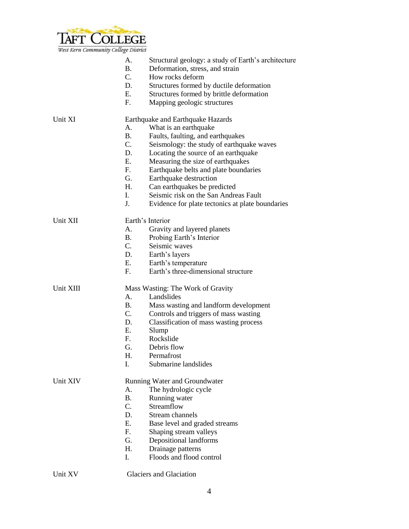

| west kern community couege District |                |                                                            |
|-------------------------------------|----------------|------------------------------------------------------------|
|                                     | A.             | Structural geology: a study of Earth's architecture        |
|                                     | <b>B.</b>      | Deformation, stress, and strain                            |
|                                     | $C_{\cdot}$    | How rocks deform                                           |
|                                     | D.             | Structures formed by ductile deformation                   |
|                                     | Ε.             | Structures formed by brittle deformation                   |
|                                     |                |                                                            |
|                                     | F.             | Mapping geologic structures                                |
| Unit XI                             |                | Earthquake and Earthquake Hazards                          |
|                                     | А.             | What is an earthquake                                      |
|                                     | <b>B.</b>      | Faults, faulting, and earthquakes                          |
|                                     | $C_{\cdot}$    | Seismology: the study of earthquake waves                  |
|                                     | D.             | Locating the source of an earthquake                       |
|                                     | E.             | Measuring the size of earthquakes                          |
|                                     | F <sub>r</sub> | Earthquake belts and plate boundaries                      |
|                                     | G.             | Earthquake destruction                                     |
|                                     |                |                                                            |
|                                     | H.             | Can earthquakes be predicted                               |
|                                     | I.             | Seismic risk on the San Andreas Fault                      |
|                                     | J.             | Evidence for plate tectonics at plate boundaries           |
| Unit XII                            |                | Earth's Interior                                           |
|                                     | А.             | Gravity and layered planets                                |
|                                     | <b>B.</b>      | Probing Earth's Interior                                   |
|                                     | $C$ .          | Seismic waves                                              |
|                                     | D.             | Earth's layers                                             |
|                                     | E.             |                                                            |
|                                     | F <sub>r</sub> | Earth's temperature<br>Earth's three-dimensional structure |
|                                     |                |                                                            |
| Unit XIII                           |                | Mass Wasting: The Work of Gravity                          |
|                                     | $A_{\cdot}$    | Landslides                                                 |
|                                     | <b>B.</b>      | Mass wasting and landform development                      |
|                                     | $\mathbf{C}$ . | Controls and triggers of mass wasting                      |
|                                     | D.             | Classification of mass wasting process                     |
|                                     | E.             | Slump                                                      |
|                                     | F.             | Rockslide                                                  |
|                                     | G.             | Debris flow                                                |
|                                     | Η.             | Permafrost                                                 |
|                                     | I.             | Submarine landslides                                       |
|                                     |                |                                                            |
| Unit XIV                            |                | Running Water and Groundwater                              |
|                                     | А.             | The hydrologic cycle                                       |
|                                     | <b>B.</b>      | Running water                                              |
|                                     | C.             | Streamflow                                                 |
|                                     | D.             | Stream channels                                            |
|                                     | E.             | Base level and graded streams                              |
|                                     | F.             | Shaping stream valleys                                     |
|                                     | G.             | Depositional landforms                                     |
|                                     | Η.             | Drainage patterns                                          |
|                                     | I.             | Floods and flood control                                   |
|                                     |                |                                                            |

Unit XV Glaciers and Glaciation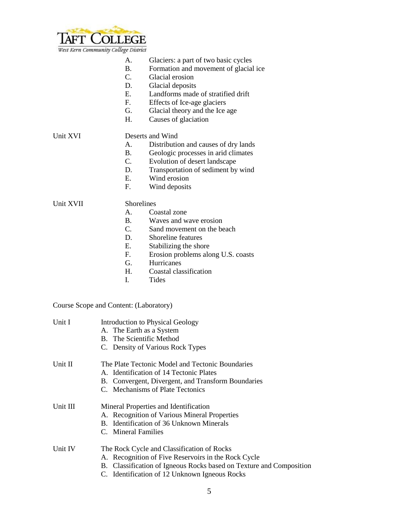

- A. Glaciers: a part of two basic cycles
- B. Formation and movement of glacial ice
- C. Glacial erosion
- D. Glacial deposits
- E. Landforms made of stratified drift
- F. Effects of Ice-age glaciers
- G. Glacial theory and the Ice age
- H. Causes of glaciation

## Unit XVI Deserts and Wind

- A. Distribution and causes of dry lands
- B. Geologic processes in arid climates
- C. Evolution of desert landscape
- D. Transportation of sediment by wind
- E. Wind erosion
- F. Wind deposits

## Unit XVII Shorelines

- A. Coastal zone
- B. Waves and wave erosion<br>C. Sand movement on the be
- Sand movement on the beach
- D. Shoreline features
- E. Stabilizing the shore
- F. Erosion problems along U.S. coasts
- G. Hurricanes
- H. Coastal classification<br>I. Tides
- **Tides**

## Course Scope and Content: (Laboratory)

| Unit I   | <b>Introduction to Physical Geology</b>                             |
|----------|---------------------------------------------------------------------|
|          | A. The Earth as a System                                            |
|          | B. The Scientific Method                                            |
|          | C. Density of Various Rock Types                                    |
| Unit II  | The Plate Tectonic Model and Tectonic Boundaries                    |
|          | A. Identification of 14 Tectonic Plates                             |
|          | B. Convergent, Divergent, and Transform Boundaries                  |
|          | C. Mechanisms of Plate Tectonics                                    |
| Unit III | Mineral Properties and Identification                               |
|          | A. Recognition of Various Mineral Properties                        |
|          | B. Identification of 36 Unknown Minerals                            |
|          | C. Mineral Families                                                 |
| Unit IV  | The Rock Cycle and Classification of Rocks                          |
|          | A. Recognition of Five Reservoirs in the Rock Cycle                 |
|          | B. Classification of Igneous Rocks based on Texture and Composition |
|          | C. Identification of 12 Unknown Igneous Rocks                       |
|          |                                                                     |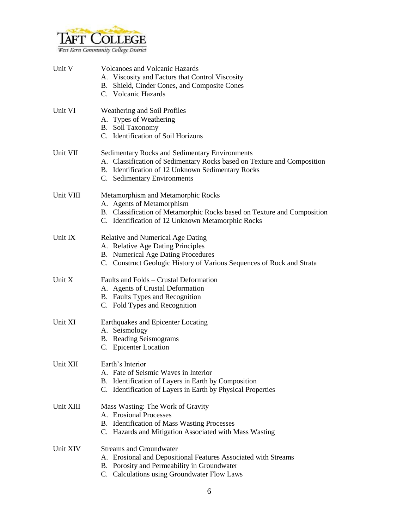

| Unit V    | <b>Volcanoes and Volcanic Hazards</b><br>A. Viscosity and Factors that Control Viscosity<br>B. Shield, Cinder Cones, and Composite Cones<br>C. Volcanic Hazards                                                      |
|-----------|----------------------------------------------------------------------------------------------------------------------------------------------------------------------------------------------------------------------|
| Unit VI   | Weathering and Soil Profiles<br>A. Types of Weathering<br>B. Soil Taxonomy<br>C. Identification of Soil Horizons                                                                                                     |
| Unit VII  | <b>Sedimentary Rocks and Sedimentary Environments</b><br>A. Classification of Sedimentary Rocks based on Texture and Composition<br>B. Identification of 12 Unknown Sedimentary Rocks<br>C. Sedimentary Environments |
| Unit VIII | Metamorphism and Metamorphic Rocks<br>A. Agents of Metamorphism<br>B. Classification of Metamorphic Rocks based on Texture and Composition<br>C. Identification of 12 Unknown Metamorphic Rocks                      |
| Unit IX   | Relative and Numerical Age Dating<br>A. Relative Age Dating Principles<br>B. Numerical Age Dating Procedures<br>C. Construct Geologic History of Various Sequences of Rock and Strata                                |
| Unit X    | Faults and Folds - Crustal Deformation<br>A. Agents of Crustal Deformation<br>B. Faults Types and Recognition<br>C. Fold Types and Recognition                                                                       |
| Unit XI   | Earthquakes and Epicenter Locating<br>A. Seismology<br><b>B.</b> Reading Seismograms<br>C. Epicenter Location                                                                                                        |
| Unit XII  | Earth's Interior<br>A. Fate of Seismic Waves in Interior<br>B. Identification of Layers in Earth by Composition<br>C. Identification of Layers in Earth by Physical Properties                                       |
| Unit XIII | Mass Wasting: The Work of Gravity<br>A. Erosional Processes<br>B. Identification of Mass Wasting Processes<br>C. Hazards and Mitigation Associated with Mass Wasting                                                 |
| Unit XIV  | <b>Streams and Groundwater</b><br>A. Erosional and Depositional Features Associated with Streams<br>B. Porosity and Permeability in Groundwater<br>C. Calculations using Groundwater Flow Laws                       |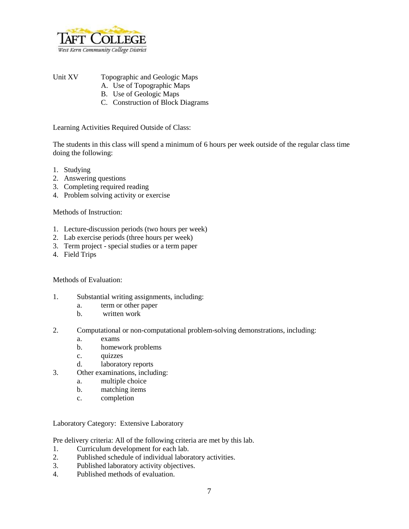

Unit XV Topographic and Geologic Maps

- A. Use of Topographic Maps
- B. Use of Geologic Maps
- C. Construction of Block Diagrams

Learning Activities Required Outside of Class:

The students in this class will spend a minimum of 6 hours per week outside of the regular class time doing the following:

- 1. Studying
- 2. Answering questions
- 3. Completing required reading
- 4. Problem solving activity or exercise

Methods of Instruction:

- 1. Lecture-discussion periods (two hours per week)
- 2. Lab exercise periods (three hours per week)
- 3. Term project special studies or a term paper
- 4. Field Trips

Methods of Evaluation:

- 1. Substantial writing assignments, including:
	- a. term or other paper
	- b. written work
- 2. Computational or non-computational problem-solving demonstrations, including:
	- a. exams
	- b. homework problems
	- c. quizzes
	- d. laboratory reports
- 3. Other examinations, including:
	- a. multiple choice
	- b. matching items
	- c. completion

Laboratory Category: Extensive Laboratory

Pre delivery criteria: All of the following criteria are met by this lab.

- 1. Curriculum development for each lab.
- 2. Published schedule of individual laboratory activities.
- 3. Published laboratory activity objectives.
- 4. Published methods of evaluation.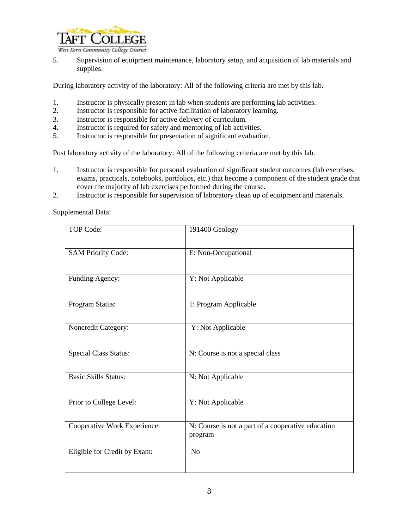

5. Supervision of equipment maintenance, laboratory setup, and acquisition of lab materials and supplies.

During laboratory activity of the laboratory: All of the following criteria are met by this lab.

- 1. Instructor is physically present in lab when students are performing lab activities.<br>2. Instructor is responsible for active facilitation of laboratory learning.
- Instructor is responsible for active facilitation of laboratory learning.
- 3. Instructor is responsible for active delivery of curriculum.
- 4. Instructor is required for safety and mentoring of lab activities.
- 5. Instructor is responsible for presentation of significant evaluation.

Post laboratory activity of the laboratory: All of the following criteria are met by this lab.

- 1. Instructor is responsible for personal evaluation of significant student outcomes (lab exercises, exams, practicals, notebooks, portfolios, etc.) that become a component of the student grade that cover the majority of lab exercises performed during the course.
- 2. Instructor is responsible for supervision of laboratory clean up of equipment and materials.

Supplemental Data:

| <b>TOP Code:</b>             | 191400 Geology                                                |
|------------------------------|---------------------------------------------------------------|
| <b>SAM Priority Code:</b>    | E: Non-Occupational                                           |
| Funding Agency:              | Y: Not Applicable                                             |
| Program Status:              | 1: Program Applicable                                         |
| Noncredit Category:          | Y: Not Applicable                                             |
| <b>Special Class Status:</b> | N: Course is not a special class                              |
| <b>Basic Skills Status:</b>  | N: Not Applicable                                             |
| Prior to College Level:      | Y: Not Applicable                                             |
| Cooperative Work Experience: | N: Course is not a part of a cooperative education<br>program |
| Eligible for Credit by Exam: | N <sub>o</sub>                                                |